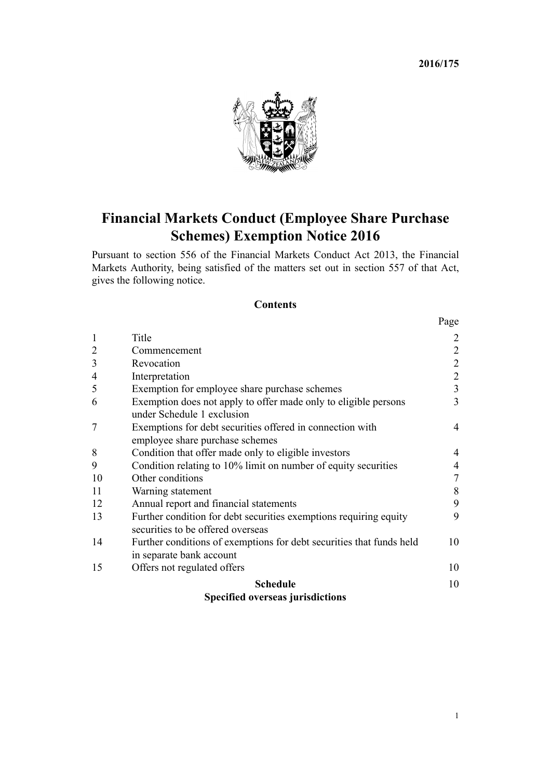**2016/175**



# **Financial Markets Conduct (Employee Share Purchase Schemes) Exemption Notice 2016**

Pursuant to [section 556](http://prd-lgnz-nlb.prd.pco.net.nz/pdflink.aspx?id=DLM4091821) of the Financial Markets Conduct Act 2013, the Financial Markets Authority, being satisfied of the matters set out in [section 557](http://prd-lgnz-nlb.prd.pco.net.nz/pdflink.aspx?id=DLM4091822) of that Act, gives the following notice.

# **Contents**

| <b>Schedule</b>                                                      | 10                                                                                                                                               |
|----------------------------------------------------------------------|--------------------------------------------------------------------------------------------------------------------------------------------------|
| Offers not regulated offers                                          | 10                                                                                                                                               |
| in separate bank account                                             |                                                                                                                                                  |
| Further conditions of exemptions for debt securities that funds held | 10                                                                                                                                               |
| securities to be offered overseas                                    |                                                                                                                                                  |
|                                                                      | 9                                                                                                                                                |
|                                                                      | 9                                                                                                                                                |
| Warning statement                                                    | 8                                                                                                                                                |
| Other conditions                                                     | 7                                                                                                                                                |
| Condition relating to 10% limit on number of equity securities       | $\overline{4}$                                                                                                                                   |
| Condition that offer made only to eligible investors                 | 4                                                                                                                                                |
| employee share purchase schemes                                      |                                                                                                                                                  |
| Exemptions for debt securities offered in connection with            | $\overline{4}$                                                                                                                                   |
| under Schedule 1 exclusion                                           |                                                                                                                                                  |
| Exemption does not apply to offer made only to eligible persons      | 3                                                                                                                                                |
| Exemption for employee share purchase schemes                        | $\overline{3}$                                                                                                                                   |
| Interpretation                                                       | $\overline{c}$                                                                                                                                   |
| Revocation                                                           | $\overline{\mathbf{c}}$                                                                                                                          |
| Commencement                                                         | $\overline{2}$                                                                                                                                   |
| Title                                                                | 2                                                                                                                                                |
|                                                                      | Page                                                                                                                                             |
|                                                                      | Annual report and financial statements<br>Further condition for debt securities exemptions requiring equity<br>Consified overgoe invigible tions |

# **[Specified overseas jurisdictions](#page-9-0)**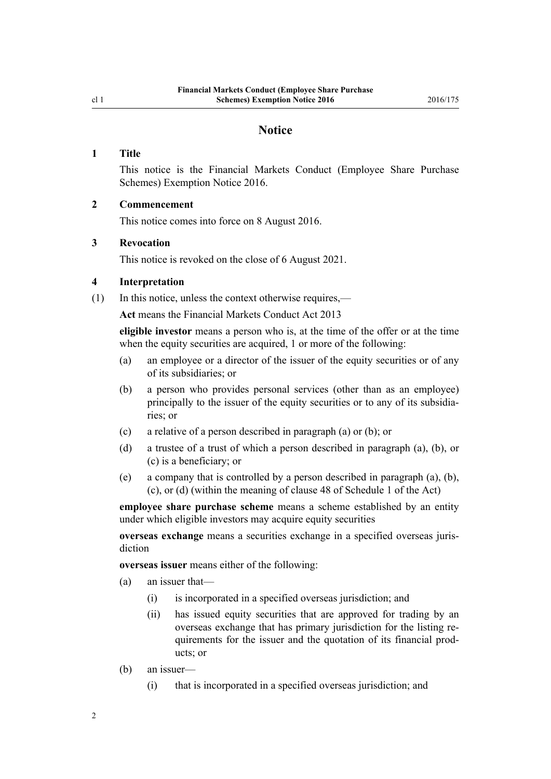# **Notice**

# <span id="page-1-0"></span>**1 Title**

This notice is the Financial Markets Conduct (Employee Share Purchase Schemes) Exemption Notice 2016.

# **2 Commencement**

This notice comes into force on 8 August 2016.

#### **3 Revocation**

This notice is revoked on the close of 6 August 2021.

# **4 Interpretation**

(1) In this notice, unless the context otherwise requires,—

**Act** means the [Financial Markets Conduct Act 2013](http://prd-lgnz-nlb.prd.pco.net.nz/pdflink.aspx?id=DLM4090503)

**eligible investor** means a person who is, at the time of the offer or at the time when the equity securities are acquired, 1 or more of the following:

- (a) an employee or a director of the issuer of the equity securities or of any of its subsidiaries; or
- (b) a person who provides personal services (other than as an employee) principally to the issuer of the equity securities or to any of its subsidiaries; or
- (c) a relative of a person described in paragraph (a) or (b); or
- (d) a trustee of a trust of which a person described in paragraph (a), (b), or (c) is a beneficiary; or
- (e) a company that is controlled by a person described in paragraph (a), (b), (c), or (d) (within the meaning of [clause 48](http://prd-lgnz-nlb.prd.pco.net.nz/pdflink.aspx?id=DLM4092495) of Schedule 1 of the Act)

**employee share purchase scheme** means a scheme established by an entity under which eligible investors may acquire equity securities

**overseas exchange** means a securities exchange in a specified overseas jurisdiction

**overseas issuer** means either of the following:

- (a) an issuer that—
	- (i) is incorporated in a specified overseas jurisdiction; and
	- (ii) has issued equity securities that are approved for trading by an overseas exchange that has primary jurisdiction for the listing requirements for the issuer and the quotation of its financial products; or
- (b) an issuer—
	- (i) that is incorporated in a specified overseas jurisdiction; and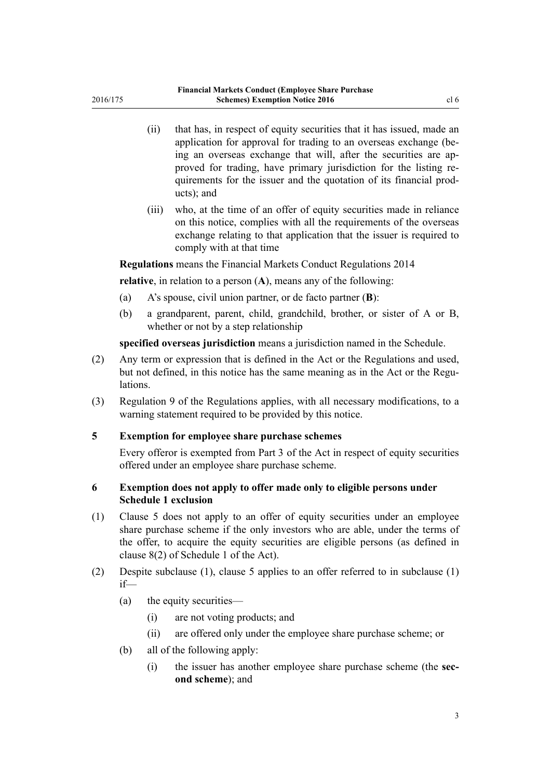- <span id="page-2-0"></span>(ii) that has, in respect of equity securities that it has issued, made an application for approval for trading to an overseas exchange (being an overseas exchange that will, after the securities are approved for trading, have primary jurisdiction for the listing requirements for the issuer and the quotation of its financial products); and
- (iii) who, at the time of an offer of equity securities made in reliance on this notice, complies with all the requirements of the overseas exchange relating to that application that the issuer is required to comply with at that time

# **Regulations** means the [Financial Markets Conduct Regulations 2014](http://prd-lgnz-nlb.prd.pco.net.nz/pdflink.aspx?id=DLM6292900)

**relative**, in relation to a person (**A**), means any of the following:

- (a) A's spouse, civil union partner, or de facto partner (**B**):
- (b) a grandparent, parent, child, grandchild, brother, or sister of A or B, whether or not by a step relationship

**specified overseas jurisdiction** means a jurisdiction named in the [Schedule.](#page-9-0)

- (2) Any term or expression that is defined in the Act or the Regulations and used, but not defined, in this notice has the same meaning as in the Act or the Regulations.
- (3) [Regulation 9](http://prd-lgnz-nlb.prd.pco.net.nz/pdflink.aspx?id=DLM6293086) of the Regulations applies, with all necessary modifications, to a warning statement required to be provided by this notice.

#### **5 Exemption for employee share purchase schemes**

Every offeror is exempted from [Part 3](http://prd-lgnz-nlb.prd.pco.net.nz/pdflink.aspx?id=DLM4090967) of the Act in respect of equity securities offered under an employee share purchase scheme.

# **6 Exemption does not apply to offer made only to eligible persons under Schedule 1 exclusion**

- (1) Clause 5 does not apply to an offer of equity securities under an employee share purchase scheme if the only investors who are able, under the terms of the offer, to acquire the equity securities are eligible persons (as defined in [clause 8\(2\)](http://prd-lgnz-nlb.prd.pco.net.nz/pdflink.aspx?id=DLM4092389) of Schedule 1 of the Act).
- (2) Despite subclause (1), clause 5 applies to an offer referred to in subclause (1) if—
	- (a) the equity securities—
		- (i) are not voting products; and
		- (ii) are offered only under the employee share purchase scheme; or
	- (b) all of the following apply:
		- (i) the issuer has another employee share purchase scheme (the **second scheme**); and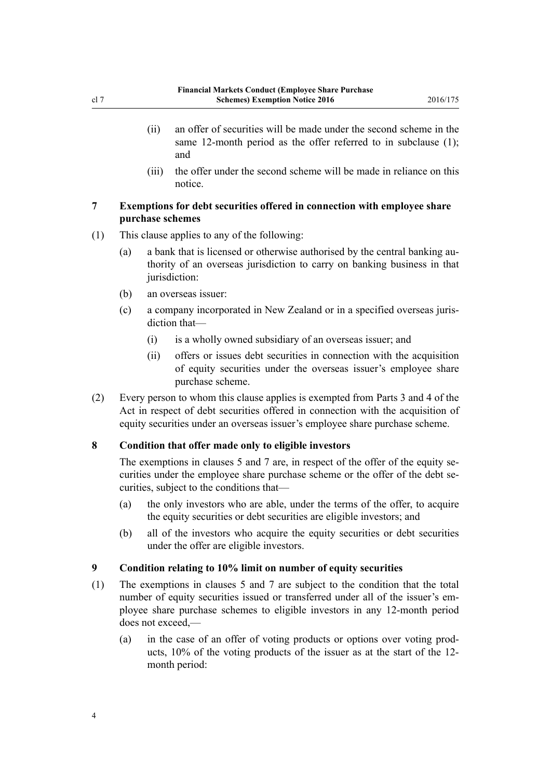- <span id="page-3-0"></span>(ii) an offer of securities will be made under the second scheme in the same 12-month period as the offer referred to in subclause (1); and
- (iii) the offer under the second scheme will be made in reliance on this notice.

# **7 Exemptions for debt securities offered in connection with employee share purchase schemes**

- (1) This clause applies to any of the following:
	- (a) a bank that is licensed or otherwise authorised by the central banking authority of an overseas jurisdiction to carry on banking business in that jurisdiction:
	- (b) an overseas issuer:
	- (c) a company incorporated in New Zealand or in a specified overseas jurisdiction that—
		- (i) is a wholly owned subsidiary of an overseas issuer; and
		- (ii) offers or issues debt securities in connection with the acquisition of equity securities under the overseas issuer's employee share purchase scheme.
- (2) Every person to whom this clause applies is exempted from [Parts 3](http://prd-lgnz-nlb.prd.pco.net.nz/pdflink.aspx?id=DLM4090967) and [4](http://prd-lgnz-nlb.prd.pco.net.nz/pdflink.aspx?id=DLM4091073) of the Act in respect of debt securities offered in connection with the acquisition of equity securities under an overseas issuer's employee share purchase scheme.

# **8 Condition that offer made only to eligible investors**

The exemptions in [clauses 5](#page-2-0) and 7 are, in respect of the offer of the equity securities under the employee share purchase scheme or the offer of the debt securities, subject to the conditions that—

- (a) the only investors who are able, under the terms of the offer, to acquire the equity securities or debt securities are eligible investors; and
- (b) all of the investors who acquire the equity securities or debt securities under the offer are eligible investors.

## **9 Condition relating to 10% limit on number of equity securities**

- (1) The exemptions in [clauses 5](#page-2-0) and 7 are subject to the condition that the total number of equity securities issued or transferred under all of the issuer's employee share purchase schemes to eligible investors in any 12-month period does not exceed,—
	- (a) in the case of an offer of voting products or options over voting products, 10% of the voting products of the issuer as at the start of the 12 month period: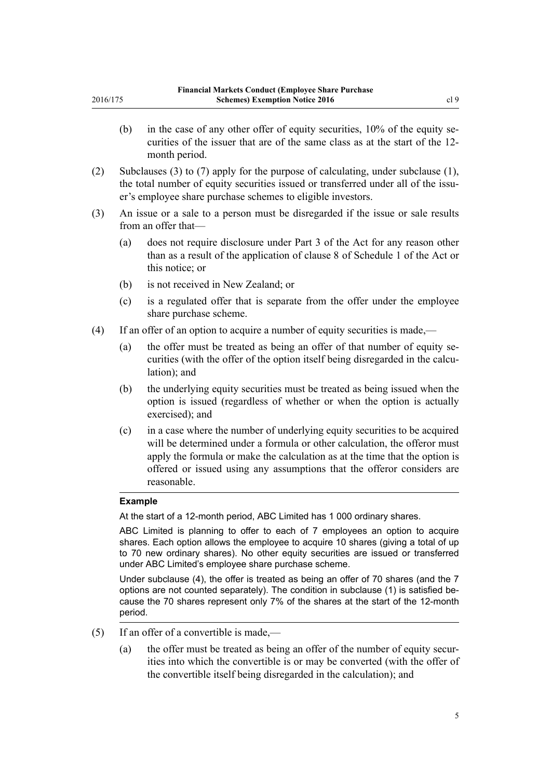- curities of the issuer that are of the same class as at the start of the 12 month period.
- (2) Subclauses (3) to (7) apply for the purpose of calculating, under subclause (1), the total number of equity securities issued or transferred under all of the issuer's employee share purchase schemes to eligible investors.
- (3) An issue or a sale to a person must be disregarded if the issue or sale results from an offer that—
	- (a) does not require disclosure under [Part 3](http://prd-lgnz-nlb.prd.pco.net.nz/pdflink.aspx?id=DLM4090967) of the Act for any reason other than as a result of the application of [clause 8](http://prd-lgnz-nlb.prd.pco.net.nz/pdflink.aspx?id=DLM4092389) of Schedule 1 of the Act or this notice; or
	- (b) is not received in New Zealand; or
	- (c) is a regulated offer that is separate from the offer under the employee share purchase scheme.
- (4) If an offer of an option to acquire a number of equity securities is made,—
	- (a) the offer must be treated as being an offer of that number of equity securities (with the offer of the option itself being disregarded in the calculation); and
	- (b) the underlying equity securities must be treated as being issued when the option is issued (regardless of whether or when the option is actually exercised); and
	- (c) in a case where the number of underlying equity securities to be acquired will be determined under a formula or other calculation, the offeror must apply the formula or make the calculation as at the time that the option is offered or issued using any assumptions that the offeror considers are reasonable.

# **Example**

2016/175

At the start of a 12-month period, ABC Limited has 1 000 ordinary shares.

ABC Limited is planning to offer to each of 7 employees an option to acquire shares. Each option allows the employee to acquire 10 shares (giving a total of up to 70 new ordinary shares). No other equity securities are issued or transferred under ABC Limited's employee share purchase scheme.

Under subclause (4), the offer is treated as being an offer of 70 shares (and the 7 options are not counted separately). The condition in subclause (1) is satisfied because the 70 shares represent only 7% of the shares at the start of the 12-month period.

- (5) If an offer of a convertible is made,—
	- (a) the offer must be treated as being an offer of the number of equity securities into which the convertible is or may be converted (with the offer of the convertible itself being disregarded in the calculation); and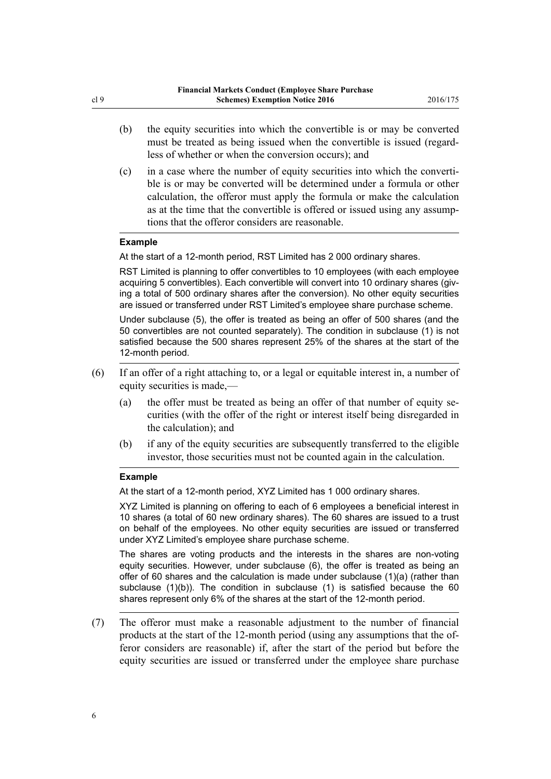- (b) the equity securities into which the convertible is or may be converted must be treated as being issued when the convertible is issued (regardless of whether or when the conversion occurs); and
- (c) in a case where the number of equity securities into which the convertible is or may be converted will be determined under a formula or other calculation, the offeror must apply the formula or make the calculation as at the time that the convertible is offered or issued using any assumptions that the offeror considers are reasonable.

#### **Example**

At the start of a 12-month period, RST Limited has 2 000 ordinary shares.

RST Limited is planning to offer convertibles to 10 employees (with each employee acquiring 5 convertibles). Each convertible will convert into 10 ordinary shares (giving a total of 500 ordinary shares after the conversion). No other equity securities are issued or transferred under RST Limited's employee share purchase scheme.

Under subclause (5), the offer is treated as being an offer of 500 shares (and the 50 convertibles are not counted separately). The condition in subclause (1) is not satisfied because the 500 shares represent 25% of the shares at the start of the 12-month period.

- (6) If an offer of a right attaching to, or a legal or equitable interest in, a number of equity securities is made,—
	- (a) the offer must be treated as being an offer of that number of equity securities (with the offer of the right or interest itself being disregarded in the calculation); and
	- (b) if any of the equity securities are subsequently transferred to the eligible investor, those securities must not be counted again in the calculation.

#### **Example**

At the start of a 12-month period, XYZ Limited has 1 000 ordinary shares.

XYZ Limited is planning on offering to each of 6 employees a beneficial interest in 10 shares (a total of 60 new ordinary shares). The 60 shares are issued to a trust on behalf of the employees. No other equity securities are issued or transferred under XYZ Limited's employee share purchase scheme.

The shares are voting products and the interests in the shares are non-voting equity securities. However, under subclause (6), the offer is treated as being an offer of 60 shares and the calculation is made under subclause (1)(a) (rather than subclause (1)(b)). The condition in subclause (1) is satisfied because the 60 shares represent only 6% of the shares at the start of the 12-month period.

(7) The offeror must make a reasonable adjustment to the number of financial products at the start of the 12-month period (using any assumptions that the offeror considers are reasonable) if, after the start of the period but before the equity securities are issued or transferred under the employee share purchase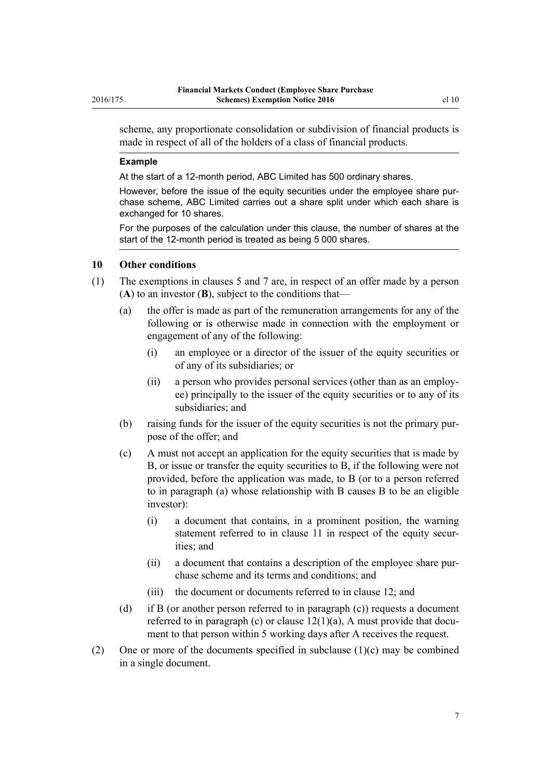<span id="page-6-0"></span>scheme, any proportionate consolidation or subdivision of financial products is made in respect of all of the holders of a class of financial products.

#### **Example**

At the start of a 12-month period, ABC Limited has 500 ordinary shares.

However, before the issue of the equity securities under the employee share purchase scheme, ABC Limited carries out a share split under which each share is exchanged for 10 shares.

For the purposes of the calculation under this clause, the number of shares at the start of the 12-month period is treated as being 5 000 shares.

#### **10 Other conditions**

- (1) The exemptions in [clauses 5](#page-2-0) and [7](#page-3-0) are, in respect of an offer made by a person (**A**) to an investor (**B**), subject to the conditions that—
	- (a) the offer is made as part of the remuneration arrangements for any of the following or is otherwise made in connection with the employment or engagement of any of the following:
		- (i) an employee or a director of the issuer of the equity securities or of any of its subsidiaries; or
		- (ii) a person who provides personal services (other than as an employee) principally to the issuer of the equity securities or to any of its subsidiaries; and
	- (b) raising funds for the issuer of the equity securities is not the primary purpose of the offer; and
	- (c) A must not accept an application for the equity securities that is made by B, or issue or transfer the equity securities to B, if the following were not provided, before the application was made, to B (or to a person referred to in paragraph (a) whose relationship with B causes B to be an eligible investor):
		- (i) a document that contains, in a prominent position, the warning statement referred to in [clause 11](#page-7-0) in respect of the equity securities; and
		- (ii) a document that contains a description of the employee share purchase scheme and its terms and conditions; and
		- (iii) the document or documents referred to in [clause 12;](#page-8-0) and
	- (d) if B (or another person referred to in paragraph (c)) requests a document referred to in paragraph (c) or clause  $12(1)(a)$ , A must provide that document to that person within 5 working days after A receives the request.
- (2) One or more of the documents specified in subclause  $(1)(c)$  may be combined in a single document.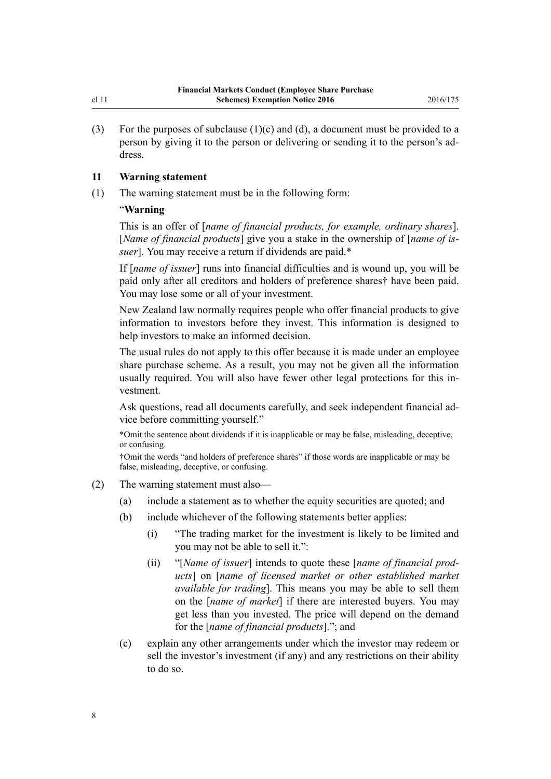<span id="page-7-0"></span>(3) For the purposes of subclause  $(1)(c)$  and  $(d)$ , a document must be provided to a person by giving it to the person or delivering or sending it to the person's address.

# **11 Warning statement**

(1) The warning statement must be in the following form:

# "**Warning**

This is an offer of [*name of financial products, for example, ordinary shares*]. [*Name of financial products*] give you a stake in the ownership of [*name of issuer*]. You may receive a return if dividends are paid.\*

If [*name of issuer*] runs into financial difficulties and is wound up, you will be paid only after all creditors and holders of preference shares† have been paid. You may lose some or all of your investment.

New Zealand law normally requires people who offer financial products to give information to investors before they invest. This information is designed to help investors to make an informed decision.

The usual rules do not apply to this offer because it is made under an employee share purchase scheme. As a result, you may not be given all the information usually required. You will also have fewer other legal protections for this investment.

Ask questions, read all documents carefully, and seek independent financial advice before committing yourself."

\*Omit the sentence about dividends if it is inapplicable or may be false, misleading, deceptive, or confusing.

†Omit the words "and holders of preference shares" if those words are inapplicable or may be false, misleading, deceptive, or confusing.

- (2) The warning statement must also—
	- (a) include a statement as to whether the equity securities are quoted; and
	- (b) include whichever of the following statements better applies:
		- (i) "The trading market for the investment is likely to be limited and you may not be able to sell it.":
		- (ii) "[*Name of issuer*] intends to quote these [*name of financial products*] on [*name of licensed market or other established market available for trading*]. This means you may be able to sell them on the [*name of market*] if there are interested buyers. You may get less than you invested. The price will depend on the demand for the [*name of financial products*]."; and
	- (c) explain any other arrangements under which the investor may redeem or sell the investor's investment (if any) and any restrictions on their ability to do so.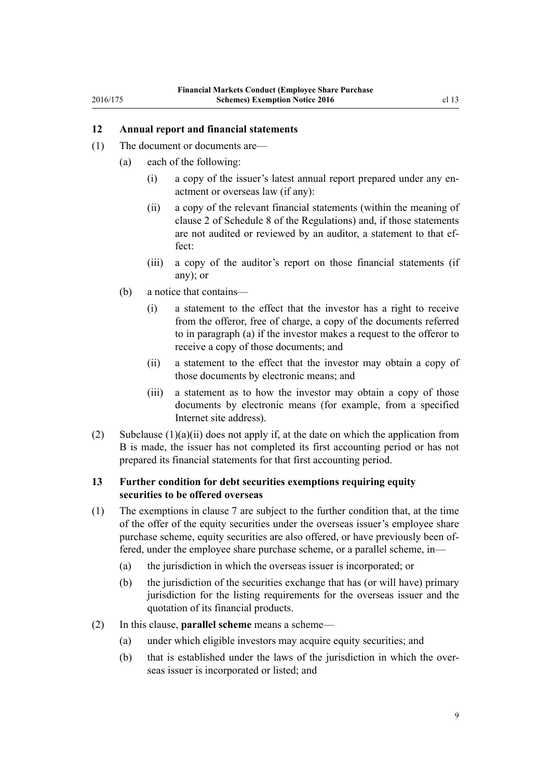# <span id="page-8-0"></span>**12 Annual report and financial statements**

- (1) The document or documents are—
	- (a) each of the following:
		- (i) a copy of the issuer's latest annual report prepared under any enactment or overseas law (if any):
		- (ii) a copy of the relevant financial statements (within the meaning of [clause 2](http://prd-lgnz-nlb.prd.pco.net.nz/pdflink.aspx?id=DLM6294564) of Schedule 8 of the Regulations) and, if those statements are not audited or reviewed by an auditor, a statement to that effect:
		- (iii) a copy of the auditor's report on those financial statements (if any); or
	- (b) a notice that contains—
		- (i) a statement to the effect that the investor has a right to receive from the offeror, free of charge, a copy of the documents referred to in paragraph (a) if the investor makes a request to the offeror to receive a copy of those documents; and
		- (ii) a statement to the effect that the investor may obtain a copy of those documents by electronic means; and
		- (iii) a statement as to how the investor may obtain a copy of those documents by electronic means (for example, from a specified Internet site address).
- (2) Subclause  $(1)(a)(ii)$  does not apply if, at the date on which the application from B is made, the issuer has not completed its first accounting period or has not prepared its financial statements for that first accounting period.

# **13 Further condition for debt securities exemptions requiring equity securities to be offered overseas**

- (1) The exemptions in [clause 7](#page-3-0) are subject to the further condition that, at the time of the offer of the equity securities under the overseas issuer's employee share purchase scheme, equity securities are also offered, or have previously been offered, under the employee share purchase scheme, or a parallel scheme, in—
	- (a) the jurisdiction in which the overseas issuer is incorporated; or
	- (b) the jurisdiction of the securities exchange that has (or will have) primary jurisdiction for the listing requirements for the overseas issuer and the quotation of its financial products.
- (2) In this clause, **parallel scheme** means a scheme—
	- (a) under which eligible investors may acquire equity securities; and
	- (b) that is established under the laws of the jurisdiction in which the overseas issuer is incorporated or listed; and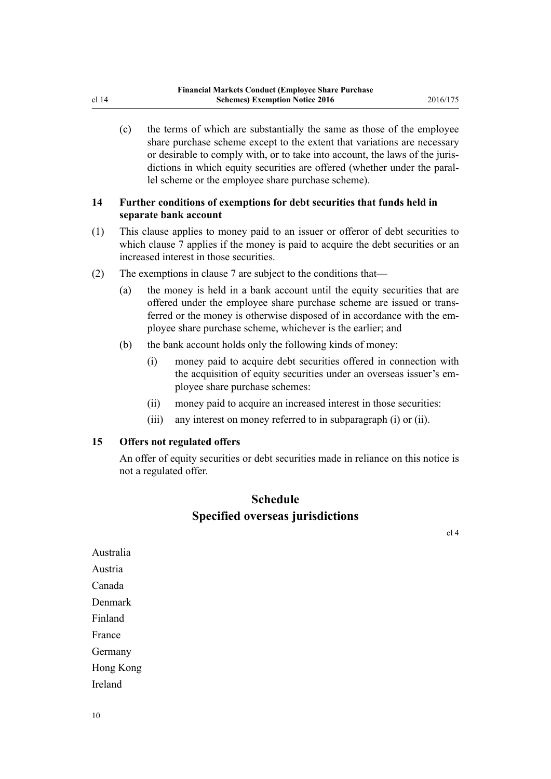(c) the terms of which are substantially the same as those of the employee share purchase scheme except to the extent that variations are necessary or desirable to comply with, or to take into account, the laws of the jurisdictions in which equity securities are offered (whether under the parallel scheme or the employee share purchase scheme).

# **14 Further conditions of exemptions for debt securities that funds held in separate bank account**

- (1) This clause applies to money paid to an issuer or offeror of debt securities to which [clause 7](#page-3-0) applies if the money is paid to acquire the debt securities or an increased interest in those securities.
- (2) The exemptions in [clause 7](#page-3-0) are subject to the conditions that—
	- (a) the money is held in a bank account until the equity securities that are offered under the employee share purchase scheme are issued or transferred or the money is otherwise disposed of in accordance with the employee share purchase scheme, whichever is the earlier; and
	- (b) the bank account holds only the following kinds of money:
		- (i) money paid to acquire debt securities offered in connection with the acquisition of equity securities under an overseas issuer's employee share purchase schemes:
		- (ii) money paid to acquire an increased interest in those securities:
		- (iii) any interest on money referred to in subparagraph (i) or (ii).

#### **15 Offers not regulated offers**

An offer of equity securities or debt securities made in reliance on this notice is not a regulated offer.

# **Schedule Specified overseas jurisdictions**

[cl 4](#page-1-0)

Australia Austria Canada Denmark Finland France Germany Hong Kong Ireland

<span id="page-9-0"></span>cl 14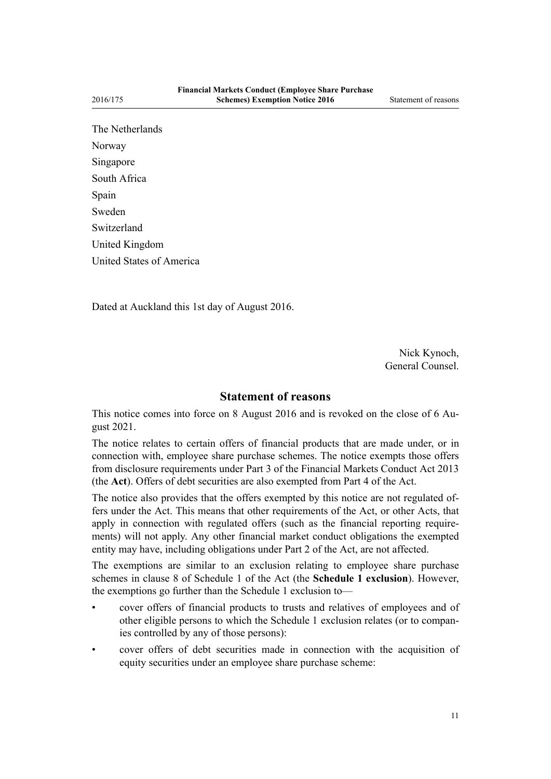The Netherlands Norway Singapore South Africa Spain Sweden Switzerland United Kingdom United States of America

Dated at Auckland this 1st day of August 2016.

Nick Kynoch, General Counsel.

# **Statement of reasons**

This notice comes into force on 8 August 2016 and is revoked on the close of 6 August 2021.

The notice relates to certain offers of financial products that are made under, or in connection with, employee share purchase schemes. The notice exempts those offers from disclosure requirements under [Part 3](http://prd-lgnz-nlb.prd.pco.net.nz/pdflink.aspx?id=DLM4090967) of the Financial Markets Conduct Act 2013 (the **Act**). Offers of debt securities are also exempted from [Part 4](http://prd-lgnz-nlb.prd.pco.net.nz/pdflink.aspx?id=DLM4091073) of the Act.

The notice also provides that the offers exempted by this notice are not regulated offers under the Act. This means that other requirements of the Act, or other Acts, that apply in connection with regulated offers (such as the financial reporting requirements) will not apply. Any other financial market conduct obligations the exempted entity may have, including obligations under [Part 2](http://prd-lgnz-nlb.prd.pco.net.nz/pdflink.aspx?id=DLM4090947) of the Act, are not affected.

The exemptions are similar to an exclusion relating to employee share purchase schemes in [clause 8](http://prd-lgnz-nlb.prd.pco.net.nz/pdflink.aspx?id=DLM4092389) of Schedule 1 of the Act (the **Schedule 1 exclusion**). However, the exemptions go further than the Schedule 1 exclusion to—

- cover offers of financial products to trusts and relatives of employees and of other eligible persons to which the [Schedule 1](http://prd-lgnz-nlb.prd.pco.net.nz/pdflink.aspx?id=DLM4092365) exclusion relates (or to companies controlled by any of those persons):
- cover offers of debt securities made in connection with the acquisition of equity securities under an employee share purchase scheme: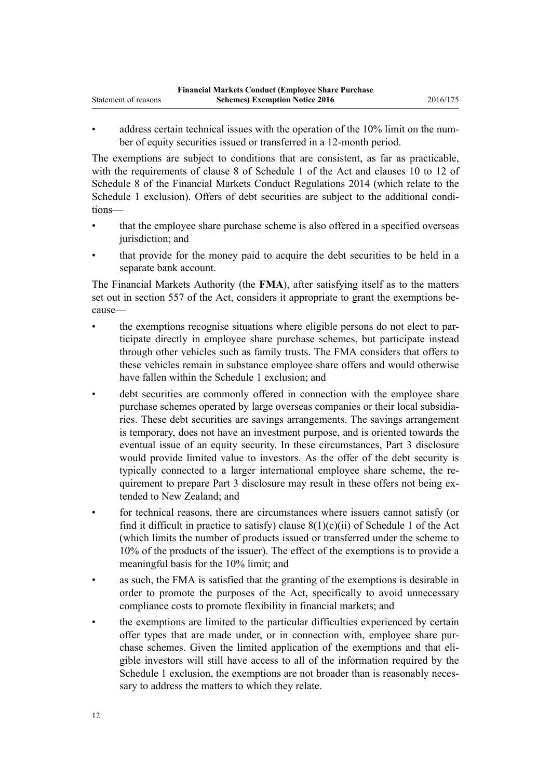- 
- address certain technical issues with the operation of the 10% limit on the number of equity securities issued or transferred in a 12-month period.

The exemptions are subject to conditions that are consistent, as far as practicable, with the requirements of [clause 8](http://prd-lgnz-nlb.prd.pco.net.nz/pdflink.aspx?id=DLM4092389) of Schedule 1 of the Act and [clauses 10](http://prd-lgnz-nlb.prd.pco.net.nz/pdflink.aspx?id=DLM6294601) to [12](http://prd-lgnz-nlb.prd.pco.net.nz/pdflink.aspx?id=DLM6294603) of Schedule 8 of the Financial Markets Conduct Regulations 2014 (which relate to the [Schedule 1](http://prd-lgnz-nlb.prd.pco.net.nz/pdflink.aspx?id=DLM4092365) exclusion). Offers of debt securities are subject to the additional conditions—

- that the employee share purchase scheme is also offered in a specified overseas jurisdiction; and
- that provide for the money paid to acquire the debt securities to be held in a separate bank account.

The Financial Markets Authority (the **FMA**), after satisfying itself as to the matters set out in [section 557](http://prd-lgnz-nlb.prd.pco.net.nz/pdflink.aspx?id=DLM4091822) of the Act, considers it appropriate to grant the exemptions because—

- the exemptions recognise situations where eligible persons do not elect to participate directly in employee share purchase schemes, but participate instead through other vehicles such as family trusts. The FMA considers that offers to these vehicles remain in substance employee share offers and would otherwise have fallen within the [Schedule 1](http://prd-lgnz-nlb.prd.pco.net.nz/pdflink.aspx?id=DLM4092365) exclusion; and
- debt securities are commonly offered in connection with the employee share purchase schemes operated by large overseas companies or their local subsidiaries. These debt securities are savings arrangements. The savings arrangement is temporary, does not have an investment purpose, and is oriented towards the eventual issue of an equity security. In these circumstances, [Part 3](http://prd-lgnz-nlb.prd.pco.net.nz/pdflink.aspx?id=DLM4090967) disclosure would provide limited value to investors. As the offer of the debt security is typically connected to a larger international employee share scheme, the requirement to prepare Part 3 disclosure may result in these offers not being extended to New Zealand; and
- for technical reasons, there are circumstances where issuers cannot satisfy (or find it difficult in practice to satisfy) clause  $8(1)(c)(ii)$  of Schedule 1 of the Act (which limits the number of products issued or transferred under the scheme to 10% of the products of the issuer). The effect of the exemptions is to provide a meaningful basis for the 10% limit; and
- as such, the FMA is satisfied that the granting of the exemptions is desirable in order to promote the purposes of the Act, specifically to avoid unnecessary compliance costs to promote flexibility in financial markets; and
- the exemptions are limited to the particular difficulties experienced by certain offer types that are made under, or in connection with, employee share purchase schemes. Given the limited application of the exemptions and that eligible investors will still have access to all of the information required by the [Schedule 1](http://prd-lgnz-nlb.prd.pco.net.nz/pdflink.aspx?id=DLM4092365) exclusion, the exemptions are not broader than is reasonably necessary to address the matters to which they relate.